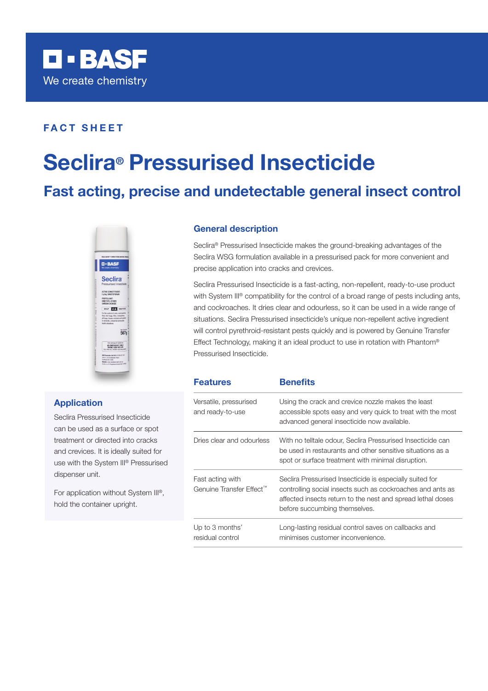

### FACT SHEET

# Seclira® Pressurised Insecticide

## Fast acting, precise and undetectable general insect control



#### Application

Seclira Pressurised Insecticide can be used as a surface or spot treatment or directed into cracks and crevices. It is ideally suited for use with the System III® Pressurised dispenser unit.

For application without System III®, hold the container upright.

#### General description

Seclira® Pressurised Insecticide makes the ground-breaking advantages of the Seclira WSG formulation available in a pressurised pack for more convenient and precise application into cracks and crevices.

Seclira Pressurised Insecticide is a fast-acting, non-repellent, ready-to-use product with System III® compatibility for the control of a broad range of pests including ants, and cockroaches. It dries clear and odourless, so it can be used in a wide range of situations. Seclira Pressurised insecticide's unique non-repellent active ingredient will control pyrethroid-resistant pests quickly and is powered by Genuine Transfer Effect Technology, making it an ideal product to use in rotation with Phantom® Pressurised Insecticide.

| <b>Features</b>                              | <b>Benefits</b>                                                                                                                                                                                                        |
|----------------------------------------------|------------------------------------------------------------------------------------------------------------------------------------------------------------------------------------------------------------------------|
| Versatile, pressurised<br>and ready-to-use   | Using the crack and crevice nozzle makes the least<br>accessible spots easy and very quick to treat with the most<br>advanced general insecticide now available.                                                       |
| Dries clear and odourless                    | With no telltale odour, Seclira Pressurised Insecticide can<br>be used in restaurants and other sensitive situations as a<br>spot or surface treatment with minimal disruption.                                        |
| Fast acting with<br>Genuine Transfer Effect™ | Seclira Pressurised Insecticide is especially suited for<br>controlling social insects such as cockroaches and ants as<br>affected insects return to the nest and spread lethal doses<br>before succumbing themselves. |
| Up to 3 months'<br>residual control          | Long-lasting residual control saves on callbacks and<br>minimises customer inconvenience.                                                                                                                              |